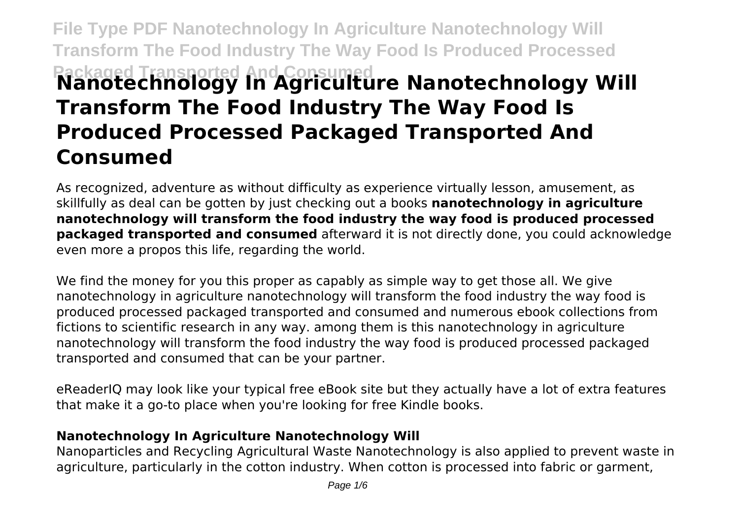# **File Type PDF Nanotechnology In Agriculture Nanotechnology Will Transform The Food Industry The Way Food Is Produced Processed Packaged Transported And Consumed Nanotechnology In Agriculture Nanotechnology Will Transform The Food Industry The Way Food Is Produced Processed Packaged Transported And Consumed**

As recognized, adventure as without difficulty as experience virtually lesson, amusement, as skillfully as deal can be gotten by just checking out a books **nanotechnology in agriculture nanotechnology will transform the food industry the way food is produced processed packaged transported and consumed** afterward it is not directly done, you could acknowledge even more a propos this life, regarding the world.

We find the money for you this proper as capably as simple way to get those all. We give nanotechnology in agriculture nanotechnology will transform the food industry the way food is produced processed packaged transported and consumed and numerous ebook collections from fictions to scientific research in any way. among them is this nanotechnology in agriculture nanotechnology will transform the food industry the way food is produced processed packaged transported and consumed that can be your partner.

eReaderIQ may look like your typical free eBook site but they actually have a lot of extra features that make it a go-to place when you're looking for free Kindle books.

#### **Nanotechnology In Agriculture Nanotechnology Will**

Nanoparticles and Recycling Agricultural Waste Nanotechnology is also applied to prevent waste in agriculture, particularly in the cotton industry. When cotton is processed into fabric or garment,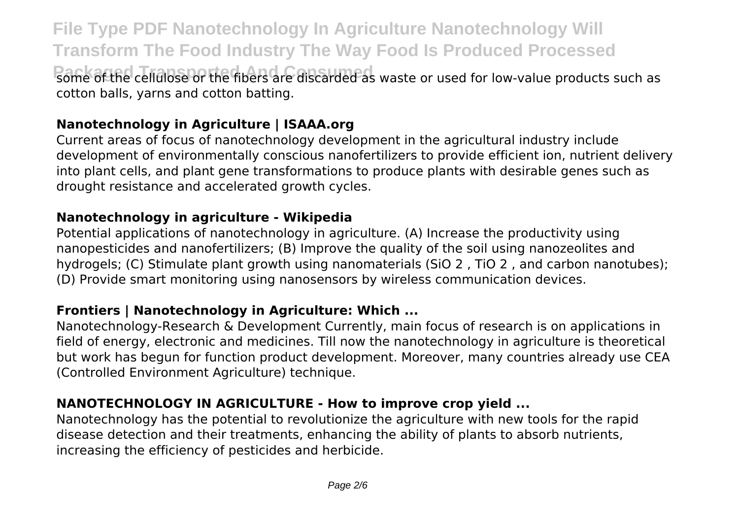**File Type PDF Nanotechnology In Agriculture Nanotechnology Will Transform The Food Industry The Way Food Is Produced Processed Pack of the cellulose or the fibers are discarded as waste or used for low-value products such as** cotton balls, yarns and cotton batting.

## **Nanotechnology in Agriculture | ISAAA.org**

Current areas of focus of nanotechnology development in the agricultural industry include development of environmentally conscious nanofertilizers to provide efficient ion, nutrient delivery into plant cells, and plant gene transformations to produce plants with desirable genes such as drought resistance and accelerated growth cycles.

#### **Nanotechnology in agriculture - Wikipedia**

Potential applications of nanotechnology in agriculture. (A) Increase the productivity using nanopesticides and nanofertilizers; (B) Improve the quality of the soil using nanozeolites and hydrogels; (C) Stimulate plant growth using nanomaterials (SiO 2, TiO 2, and carbon nanotubes); (D) Provide smart monitoring using nanosensors by wireless communication devices.

#### **Frontiers | Nanotechnology in Agriculture: Which ...**

Nanotechnology-Research & Development Currently, main focus of research is on applications in field of energy, electronic and medicines. Till now the nanotechnology in agriculture is theoretical but work has begun for function product development. Moreover, many countries already use CEA (Controlled Environment Agriculture) technique.

## **NANOTECHNOLOGY IN AGRICULTURE - How to improve crop yield ...**

Nanotechnology has the potential to revolutionize the agriculture with new tools for the rapid disease detection and their treatments, enhancing the ability of plants to absorb nutrients, increasing the efficiency of pesticides and herbicide.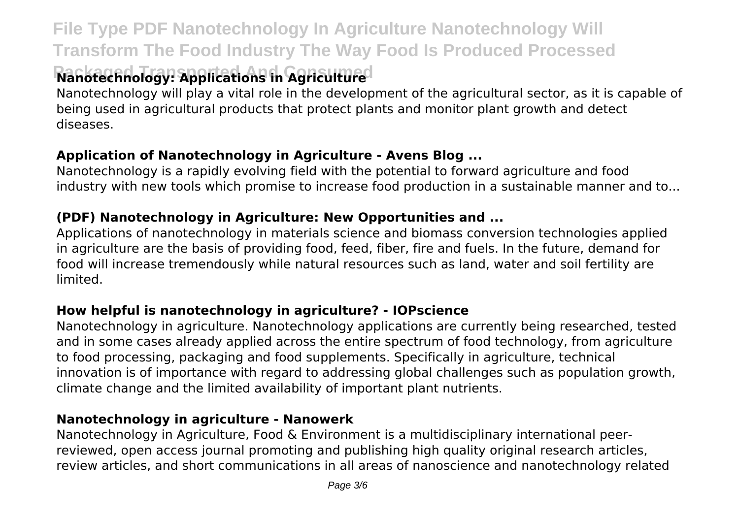## **File Type PDF Nanotechnology In Agriculture Nanotechnology Will Transform The Food Industry The Way Food Is Produced Processed**

## **Ranbtechnology: Applications in Agriculture**d

Nanotechnology will play a vital role in the development of the agricultural sector, as it is capable of being used in agricultural products that protect plants and monitor plant growth and detect diseases.

## **Application of Nanotechnology in Agriculture - Avens Blog ...**

Nanotechnology is a rapidly evolving field with the potential to forward agriculture and food industry with new tools which promise to increase food production in a sustainable manner and to...

## **(PDF) Nanotechnology in Agriculture: New Opportunities and ...**

Applications of nanotechnology in materials science and biomass conversion technologies applied in agriculture are the basis of providing food, feed, fiber, fire and fuels. In the future, demand for food will increase tremendously while natural resources such as land, water and soil fertility are limited.

## **How helpful is nanotechnology in agriculture? - IOPscience**

Nanotechnology in agriculture. Nanotechnology applications are currently being researched, tested and in some cases already applied across the entire spectrum of food technology, from agriculture to food processing, packaging and food supplements. Specifically in agriculture, technical innovation is of importance with regard to addressing global challenges such as population growth, climate change and the limited availability of important plant nutrients.

## **Nanotechnology in agriculture - Nanowerk**

Nanotechnology in Agriculture, Food & Environment is a multidisciplinary international peerreviewed, open access journal promoting and publishing high quality original research articles, review articles, and short communications in all areas of nanoscience and nanotechnology related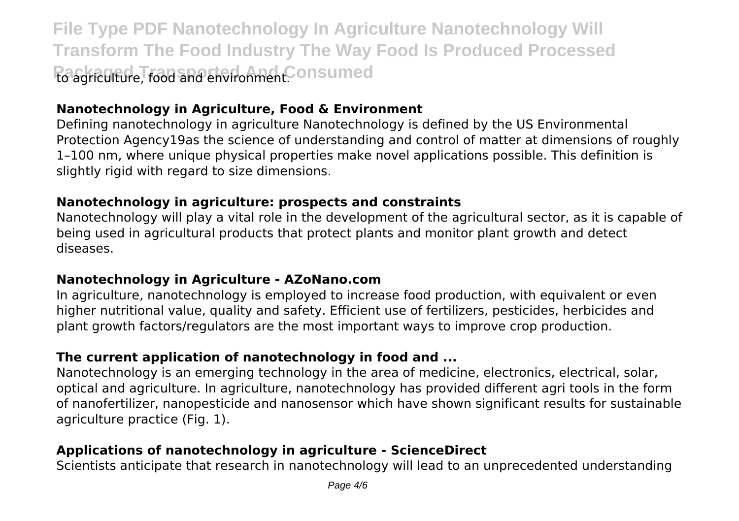**File Type PDF Nanotechnology In Agriculture Nanotechnology Will Transform The Food Industry The Way Food Is Produced Processed Packaged Transported Transported And Transported Transported And Transported to and the Engineeral Engineeral** 

## **Nanotechnology in Agriculture, Food & Environment**

Defining nanotechnology in agriculture Nanotechnology is defined by the US Environmental Protection Agency19as the science of understanding and control of matter at dimensions of roughly 1–100 nm, where unique physical properties make novel applications possible. This definition is slightly rigid with regard to size dimensions.

#### **Nanotechnology in agriculture: prospects and constraints**

Nanotechnology will play a vital role in the development of the agricultural sector, as it is capable of being used in agricultural products that protect plants and monitor plant growth and detect diseases.

#### **Nanotechnology in Agriculture - AZoNano.com**

In agriculture, nanotechnology is employed to increase food production, with equivalent or even higher nutritional value, quality and safety. Efficient use of fertilizers, pesticides, herbicides and plant growth factors/regulators are the most important ways to improve crop production.

#### **The current application of nanotechnology in food and ...**

Nanotechnology is an emerging technology in the area of medicine, electronics, electrical, solar, optical and agriculture. In agriculture, nanotechnology has provided different agri tools in the form of nanofertilizer, nanopesticide and nanosensor which have shown significant results for sustainable agriculture practice (Fig. 1).

## **Applications of nanotechnology in agriculture - ScienceDirect**

Scientists anticipate that research in nanotechnology will lead to an unprecedented understanding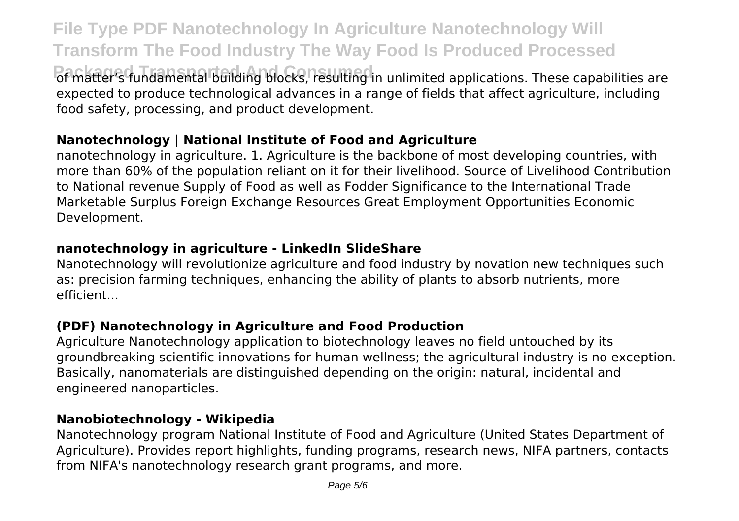**File Type PDF Nanotechnology In Agriculture Nanotechnology Will Transform The Food Industry The Way Food Is Produced Processed Packaged Transported And Consumed** of Transported And Transported Consumed of Matter's fundamental building blocks, resulting in unlimited applications. These capabilities are expected to produce technological advances in a range of fields that affect agriculture, including food safety, processing, and product development.

## **Nanotechnology | National Institute of Food and Agriculture**

nanotechnology in agriculture. 1. Agriculture is the backbone of most developing countries, with more than 60% of the population reliant on it for their livelihood. Source of Livelihood Contribution to National revenue Supply of Food as well as Fodder Significance to the International Trade Marketable Surplus Foreign Exchange Resources Great Employment Opportunities Economic Development.

#### **nanotechnology in agriculture - LinkedIn SlideShare**

Nanotechnology will revolutionize agriculture and food industry by novation new techniques such as: precision farming techniques, enhancing the ability of plants to absorb nutrients, more efficient...

## **(PDF) Nanotechnology in Agriculture and Food Production**

Agriculture Nanotechnology application to biotechnology leaves no field untouched by its groundbreaking scientific innovations for human wellness; the agricultural industry is no exception. Basically, nanomaterials are distinguished depending on the origin: natural, incidental and engineered nanoparticles.

## **Nanobiotechnology - Wikipedia**

Nanotechnology program National Institute of Food and Agriculture (United States Department of Agriculture). Provides report highlights, funding programs, research news, NIFA partners, contacts from NIFA's nanotechnology research grant programs, and more.